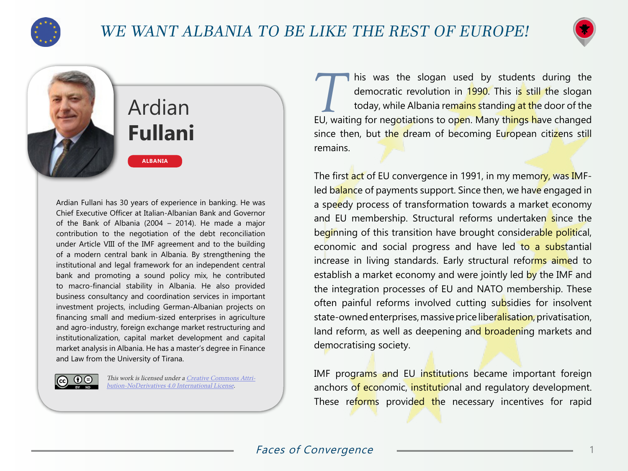

## WE WANT ALBANIA TO BE LIKE THE REST OF EUROPE!



# Ardian **Fullani**

**ALBANIA**

Ardian Fullani has 30 years of experience in banking. He was Chief Executive Officer at Italian-Albanian Bank and Governor of the Bank of Albania (2004 – 2014). He made a major contribution to the negotiation of the debt reconciliation under Article VIII of the IMF agreement and to the building of a modern central bank in Albania. By strengthening the institutional and legal framework for an independent central bank and promoting a sound policy mix, he contributed to macro-financial stability in Albania. He also provided business consultancy and coordination services in important investment projects, including German-Albanian projects on financing small and medium-sized enterprises in agriculture and agro-industry, foreign exchange market restructuring and institutionalization, capital market development and capital market analysis in Albania. He has a master's degree in Finance and Law from the University of Tirana.



This work is licensed under a [Creative Commons Attri](https://creativecommons.org/licenses/by-nd/4.0/)[bution-NoDerivatives 4.0 International License](https://creativecommons.org/licenses/by-nd/4.0/).

This was the slogan used by students during the democratic revolution in 1990. This is still the slogan today, while Albania remains standing at the door of the democratic revolution in 1990. This is still the slogan EU, waiting for negotiations to open. Many things have changed since then, but the dream of becoming European citizens still remains.

The first act of EU convergence in 1991, in my memory, was IMFled balance of payments support. Since then, we have engaged in a speedy process of transformation towards a market economy and EU membership. Structural reforms undertaken since the beginning of this transition have brought considerable political, economic and social progress and have led to a substantial increase in living standards. Early structural reforms aimed to establish a market economy and were jointly led by the IMF and the integration processes of EU and NATO membership. These often painful reforms involved cutting subsidies for insolvent state-owned enterprises, massive price liberalisation, privatisation, land reform, as well as deepening and broadening markets and democratising society.

IMF programs and EU institutions became important foreign anchors of economic, institutional and regulatory development. These reforms provided the necessary incentives for rapid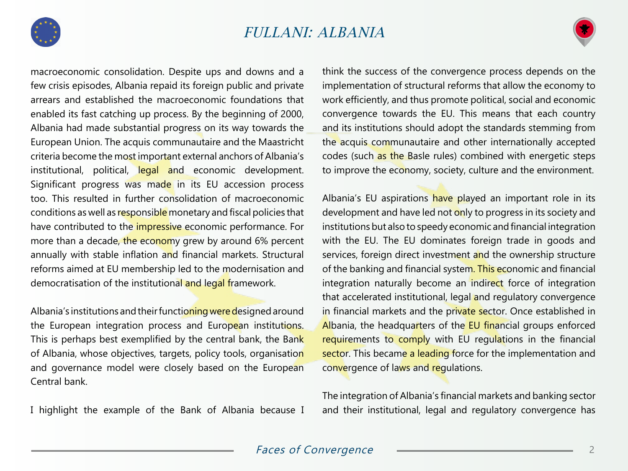



macroeconomic consolidation. Despite ups and downs and a few crisis episodes, Albania repaid its foreign public and private arrears and established the macroeconomic foundations that enabled its fast catching up process. By the beginning of 2000, Albania had made substantial progress on its way towards the European Union. The acquis communautaire and the Maastricht criteria become the most important external anchors of Albania's institutional, political, legal and economic development. Significant progress was made in its EU accession process too. This resulted in further consolidation of macroeconomic conditions as well as responsible monetary and fiscal policies that have contributed to the *impressive* economic performance. For more than a decade, the economy grew by around 6% percent annually with stable inflation and financial markets. Structural reforms aimed at EU membership led to the modernisation and democratisation of the institutional and legal framework.

Albania's institutions and their functioning were designed around the European integration process and European institutions. This is perhaps best exemplified by the central bank, the Bank of Albania, whose objectives, targets, policy tools, organisation and governance model were closely based on the European Central bank.

I highlight the example of the Bank of Albania because I

think the success of the convergence process depends on the implementation of structural reforms that allow the economy to work efficiently, and thus promote political, social and economic convergence towards the EU. This means that each country and its institutions should adopt the standards stemming from the acquis communautaire and other internationally accepted codes (such as the Basle rules) combined with energetic steps to improve the economy, society, culture and the environment.

Albania's EU aspirations have played an important role in its development and have led not only to progress in its society and institutions but also to speedy economic and financial integration with the EU. The EU dominates foreign trade in goods and services, foreign direct investment and the ownership structure of the banking and financial system. This economic and financial integration naturally become an indirect force of integration that accelerated institutional, legal and regulatory convergence in financial markets and the private sector. Once established in Albania, the headquarters of the **EU** financial groups enforced requirements to comply with EU regulations in the financial sector. This became a leading force for the implementation and convergence of laws and regulations.

The integration of Albania's financial markets and banking sector and their institutional, legal and regulatory convergence has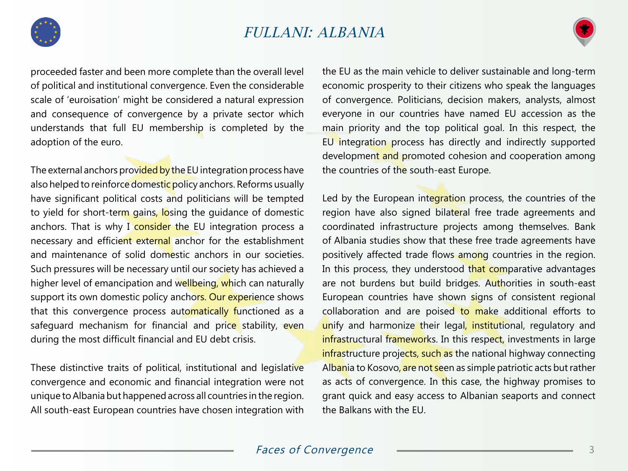



proceeded faster and been more complete than the overall level of political and institutional convergence. Even the considerable scale of 'euroisation' might be considered a natural expression and consequence of convergence by a private sector which understands that full EU membership is completed by the adoption of the euro.

The external anchors provided by the EU integration process have also helped to reinforce domestic policy anchors. Reforms usually have significant political costs and politicians will be tempted to yield for short-term gains, losing the guidance of domestic anchors. That is why I consider the EU integration process a necessary and efficient external anchor for the establishment and maintenance of solid domestic anchors in our societies. Such pressures will be necessary until our society has achieved a higher level of emancipation and wellbeing, which can naturally support its own domestic policy anchors. Our experience shows that this convergence process automatically functioned as a safeguard mechanism for financial and price stability, even during the most difficult financial and EU debt crisis.

These distinctive traits of political, institutional and legislative convergence and economic and financial integration were not unique to Albania but happened across all countries in the region. All south-east European countries have chosen integration with the EU as the main vehicle to deliver sustainable and long-term economic prosperity to their citizens who speak the languages of convergence. Politicians, decision makers, analysts, almost everyone in our countries have named EU accession as the main priority and the top political goal. In this respect, the EU integration process has directly and indirectly supported development and promoted cohesion and cooperation among the countries of the south-east Europe.

Led by the European integration process, the countries of the region have also signed bilateral free trade agreements and coordinated infrastructure projects among themselves. Bank of Albania studies show that these free trade agreements have positively affected trade flows among countries in the region. In this process, they understood that comparative advantages are not burdens but build bridges. Authorities in south-east European countries have shown signs of consistent regional collaboration and are poised to make additional efforts to unify and harmonize their legal, institutional, regulatory and infrastructural frameworks. In this respect, investments in large infrastructure projects, such as the national highway connecting Albania to Kosovo, are not seen as simple patriotic acts but rather as acts of convergence. In this case, the highway promises to grant quick and easy access to Albanian seaports and connect the Balkans with the EU.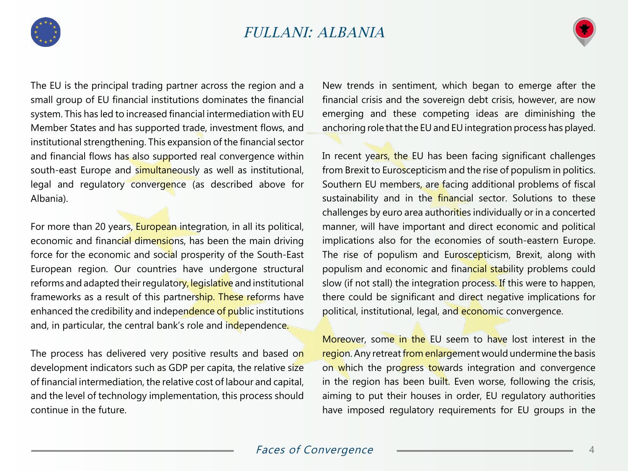



The EU is the principal trading partner across the region and a small group of EU financial institutions dominates the financial system. This has led to increased financial intermediation with EU Member States and has supported trade, investment flows, and institutional strengthening. This expansion of the financial sector and financial flows has also supported real convergence within south-east Europe and simultaneously as well as institutional, legal and regulatory convergence (as described above for Albania).

For more than 20 years, **European integration**, in all its political, economic and financial dimensions, has been the main driving force for the economic and social prosperity of the South-East European region. Our countries have undergone structural reforms and adapted their regulatory, legislative and institutional frameworks as a result of this partnership. These reforms have enhanced the credibility and independence of public institutions and, in particular, the central bank's role and independence.

The process has delivered very positive results and based on development indicators such as GDP per capita, the relative size of financial intermediation, the relative cost of labour and capital, and the level of technology implementation, this process should continue in the future.

New trends in sentiment, which began to emerge after the financial crisis and the sovereign debt crisis, however, are now emerging and these competing ideas are diminishing the anchoring role that the EU and EU integration process has played.

In recent years, the EU has been facing significant challenges from Brexit to Euroscepticism and the rise of populism in politics. Southern EU members, are facing additional problems of fiscal sustainability and in the *financial* sector. Solutions to these challenges by euro area authorities individually or in a concerted manner, will have important and direct economic and political implications also for the economies of south-eastern Europe. The rise of populism and Euroscepticism, Brexit, along with populism and economic and financial stability problems could slow (if not stall) the integration process. If this were to happen, there could be significant and direct negative implications for political, institutional, legal, and economic convergence.

Moreover, some in the EU seem to have lost interest in the region. Any retreat from enlargement would undermine the basis on which the progress towards integration and convergence in the region has been built. Even worse, following the crisis, aiming to put their houses in order, EU regulatory authorities have imposed regulatory requirements for EU groups in the